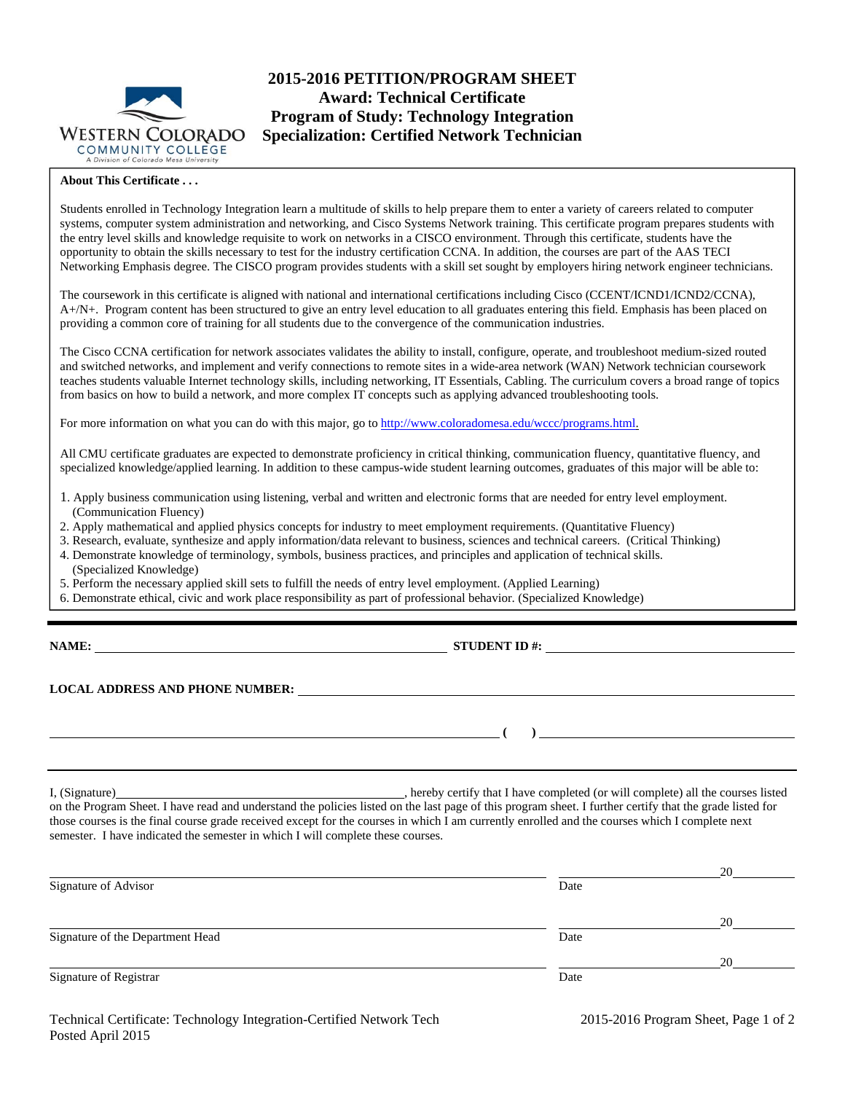

# **2015-2016 PETITION/PROGRAM SHEET Award: Technical Certificate Program of Study: Technology Integration Specialization: Certified Network Technician**

#### **About This Certificate . . .**

Students enrolled in Technology Integration learn a multitude of skills to help prepare them to enter a variety of careers related to computer systems, computer system administration and networking, and Cisco Systems Network training. This certificate program prepares students with the entry level skills and knowledge requisite to work on networks in a CISCO environment. Through this certificate, students have the opportunity to obtain the skills necessary to test for the industry certification CCNA. In addition, the courses are part of the AAS TECI Networking Emphasis degree. The CISCO program provides students with a skill set sought by employers hiring network engineer technicians.

The coursework in this certificate is aligned with national and international certifications including Cisco (CCENT/ICND1/ICND2/CCNA), A+/N+. Program content has been structured to give an entry level education to all graduates entering this field. Emphasis has been placed on providing a common core of training for all students due to the convergence of the communication industries.

The Cisco CCNA certification for network associates validates the ability to install, configure, operate, and troubleshoot medium-sized routed and switched networks, and implement and verify connections to remote sites in a wide-area network (WAN) Network technician coursework teaches students valuable Internet technology skills, including networking, IT Essentials, Cabling. The curriculum covers a broad range of topics from basics on how to build a network, and more complex IT concepts such as applying advanced troubleshooting tools.

For more information on what you can do with this major, go to http://www.coloradomesa.edu/wccc/programs.html.

All CMU certificate graduates are expected to demonstrate proficiency in critical thinking, communication fluency, quantitative fluency, and specialized knowledge/applied learning. In addition to these campus-wide student learning outcomes, graduates of this major will be able to:

- 1. Apply business communication using listening, verbal and written and electronic forms that are needed for entry level employment. (Communication Fluency)
- 2. Apply mathematical and applied physics concepts for industry to meet employment requirements. (Quantitative Fluency)
- 3. Research, evaluate, synthesize and apply information/data relevant to business, sciences and technical careers. (Critical Thinking)
- 4. Demonstrate knowledge of terminology, symbols, business practices, and principles and application of technical skills. (Specialized Knowledge)
- 5. Perform the necessary applied skill sets to fulfill the needs of entry level employment. (Applied Learning)
- 6. Demonstrate ethical, civic and work place responsibility as part of professional behavior. (Specialized Knowledge)

**NAME: STUDENT ID #: STUDENT ID #: STUDENT ID #:**  $\blacksquare$ 

**LOCAL ADDRESS AND PHONE NUMBER:**

I, (Signature) , hereby certify that I have completed (or will complete) all the courses listed on the Program Sheet. I have read and understand the policies listed on the last page of this program sheet. I further certify that the grade listed for those courses is the final course grade received except for the courses in which I am currently enrolled and the courses which I complete next

|      | 20 |
|------|----|
| Date |    |
|      |    |
|      | 20 |
| Date |    |
|      | 20 |
| Date |    |
|      |    |

semester. I have indicated the semester in which I will complete these courses.

 **( )**